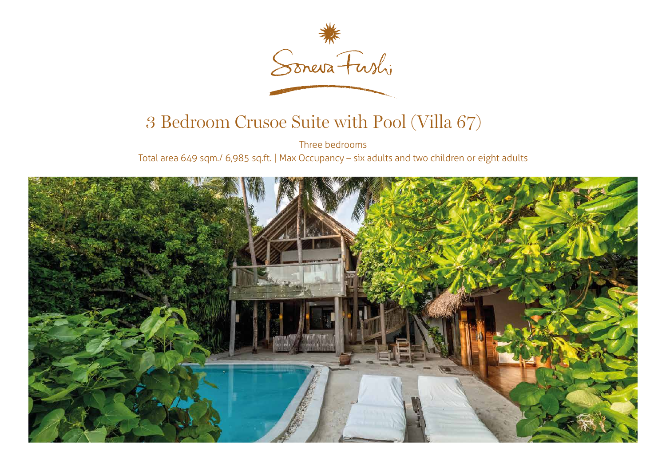

## 3 Bedroom Crusoe Suite with Pool (Villa 67)

Three bedrooms Total area 649 sqm./ 6,985 sq.ft. | Max Occupancy – six adults and two children or eight adults

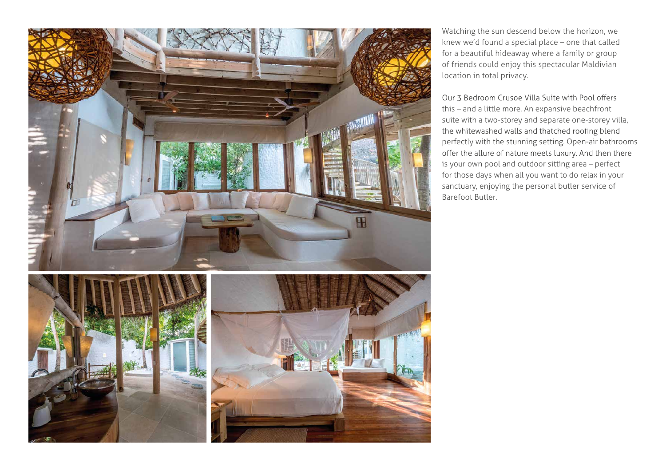

Watching the sun descend below the horizon, we knew we'd found a special place – one that called for a beautiful hideaway where a family or group of friends could enjoy this spectacular Maldivian location in total privacy.

Our 3 Bedroom Crusoe Villa Suite with Pool offers this – and a little more. An expansive beachfront suite with a two-storey and separate one-storey villa, the whitewashed walls and thatched roofing blend perfectly with the stunning setting. Open-air bathrooms offer the allure of nature meets luxury. And then there is your own pool and outdoor sitting area – perfect for those days when all you want to do relax in your sanctuary, enjoying the personal butler service of Barefoot Butler.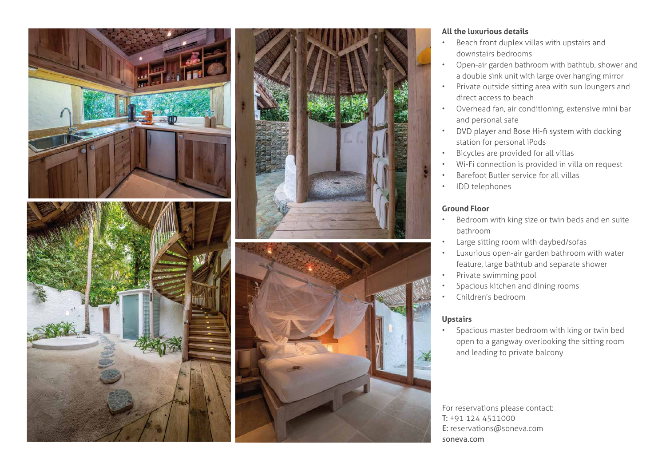



## **All the luxurious details**

- Beach front duplex villas with upstairs and downstairs bedrooms
- Open-air garden bathroom with bathtub, shower and a double sink unit with large over hanging mirror
- Private outside sitting area with sun loungers and direct access to beach
- Overhead fan, air conditioning, extensive mini bar and personal safe
- DVD player and Bose Hi-fi system with docking • station for personal iPods
- Bicycles are provided for all villas
- Wi-Fi connection is provided in villa on request
- Barefoot Butler service for all villas
- IDD telephones

## **Ground Floor**

- Bedroom with king size or twin beds and en suite bathroom
- Large sitting room with daybed/sofas
- Luxurious open-air garden bathroom with water feature, large bathtub and separate shower
- Private swimming pool
- Spacious kitchen and dining rooms
- Children's bedroom

## **Upstairs**

• Spacious master bedroom with king or twin bed open to a gangway overlooking the sitting room and leading to private balcony

For reservations please contact: T: +91 124 4511000 E: reservations@soneva.com soneva.com